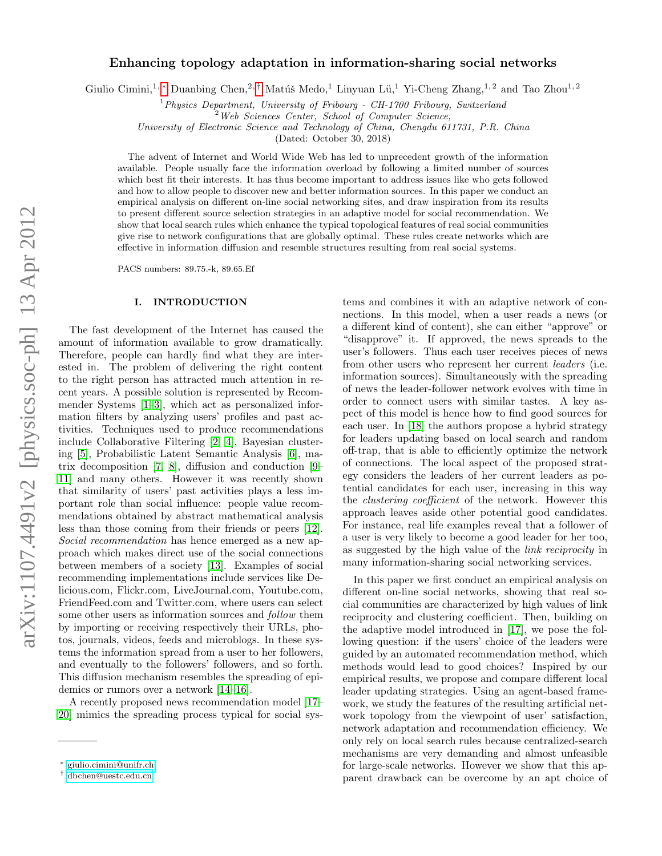# Enhancing topology adaptation in information-sharing social networks

Giulio Cimini,<sup>1, \*</sup> Duanbing Chen,<sup>2,[†](#page-0-1)</sup> Matúš Medo,<sup>1</sup> Linyuan Lü,<sup>1</sup> Yi-Cheng Zhang,<sup>1,2</sup> and Tao Zhou<sup>1,2</sup>

 $1$ Physics Department, University of Fribourg - CH-1700 Fribourg, Switzerland

 $2$  Web Sciences Center, School of Computer Science,

University of Electronic Science and Technology of China, Chengdu 611731, P.R. China

(Dated: October 30, 2018)

The advent of Internet and World Wide Web has led to unprecedent growth of the information available. People usually face the information overload by following a limited number of sources which best fit their interests. It has thus become important to address issues like who gets followed and how to allow people to discover new and better information sources. In this paper we conduct an empirical analysis on different on-line social networking sites, and draw inspiration from its results to present different source selection strategies in an adaptive model for social recommendation. We show that local search rules which enhance the typical topological features of real social communities give rise to network configurations that are globally optimal. These rules create networks which are effective in information diffusion and resemble structures resulting from real social systems.

PACS numbers: 89.75.-k, 89.65.Ef

#### I. INTRODUCTION

The fast development of the Internet has caused the amount of information available to grow dramatically. Therefore, people can hardly find what they are interested in. The problem of delivering the right content to the right person has attracted much attention in recent years. A possible solution is represented by Recommender Systems [\[1–](#page-9-0)[3\]](#page-9-1), which act as personalized information filters by analyzing users' profiles and past activities. Techniques used to produce recommendations include Collaborative Filtering [\[2,](#page-9-2) [4\]](#page-9-3), Bayesian clustering [\[5\]](#page-9-4), Probabilistic Latent Semantic Analysis [\[6\]](#page-9-5), matrix decomposition [\[7,](#page-9-6) [8\]](#page-9-7), diffusion and conduction [\[9–](#page-9-8) [11\]](#page-9-9) and many others. However it was recently shown that similarity of users' past activities plays a less important role than social influence: people value recommendations obtained by abstract mathematical analysis less than those coming from their friends or peers [\[12\]](#page-9-10). Social recommendation has hence emerged as a new approach which makes direct use of the social connections between members of a society [\[13\]](#page-9-11). Examples of social recommending implementations include services like Delicious.com, Flickr.com, LiveJournal.com, Youtube.com, FriendFeed.com and Twitter.com, where users can select some other users as information sources and *follow* them by importing or receiving respectively their URLs, photos, journals, videos, feeds and microblogs. In these systems the information spread from a user to her followers, and eventually to the followers' followers, and so forth. This diffusion mechanism resembles the spreading of epidemics or rumors over a network [\[14–](#page-9-12)[16\]](#page-9-13).

A recently proposed news recommendation model [\[17–](#page-9-14) [20\]](#page-9-15) mimics the spreading process typical for social sys-

tems and combines it with an adaptive network of connections. In this model, when a user reads a news (or a different kind of content), she can either "approve" or "disapprove" it. If approved, the news spreads to the user's followers. Thus each user receives pieces of news from other users who represent her current leaders (i.e. information sources). Simultaneously with the spreading of news the leader-follower network evolves with time in order to connect users with similar tastes. A key aspect of this model is hence how to find good sources for each user. In [\[18\]](#page-9-16) the authors propose a hybrid strategy for leaders updating based on local search and random off-trap, that is able to efficiently optimize the network of connections. The local aspect of the proposed strategy considers the leaders of her current leaders as potential candidates for each user, increasing in this way the clustering coefficient of the network. However this approach leaves aside other potential good candidates. For instance, real life examples reveal that a follower of a user is very likely to become a good leader for her too, as suggested by the high value of the link reciprocity in many information-sharing social networking services.

In this paper we first conduct an empirical analysis on different on-line social networks, showing that real social communities are characterized by high values of link reciprocity and clustering coefficient. Then, building on the adaptive model introduced in [\[17\]](#page-9-14), we pose the following question: if the users' choice of the leaders were guided by an automated recommendation method, which methods would lead to good choices? Inspired by our empirical results, we propose and compare different local leader updating strategies. Using an agent-based framework, we study the features of the resulting artificial network topology from the viewpoint of user' satisfaction, network adaptation and recommendation efficiency. We only rely on local search rules because centralized-search mechanisms are very demanding and almost unfeasible for large-scale networks. However we show that this apparent drawback can be overcome by an apt choice of

<span id="page-0-0"></span><sup>∗</sup> [giulio.cimini@unifr.ch](mailto:giulio.cimini@unifr.ch)

<span id="page-0-1"></span><sup>†</sup> [dbchen@uestc.edu.cn](mailto:dbchen@uestc.edu.cn)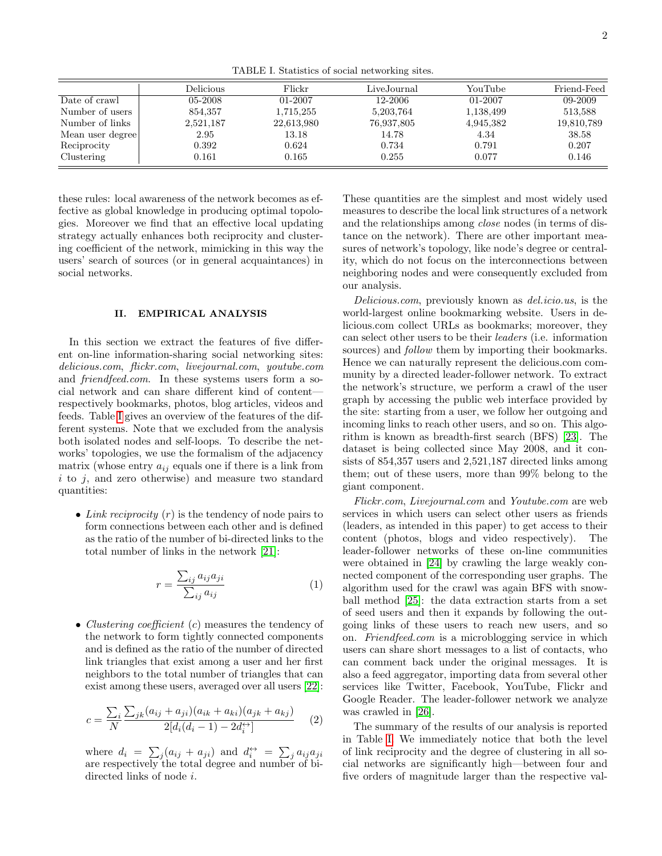<span id="page-1-0"></span>TABLE I. Statistics of social networking sites.

|                  | Delicious | Flickr     | LiveJournal | YouTube   | Friend-Feed |
|------------------|-----------|------------|-------------|-----------|-------------|
| Date of crawl    | 05-2008   | 01-2007    | 12-2006     | 01-2007   | 09-2009     |
| Number of users  | 854,357   | 1,715,255  | 5,203,764   | 1,138,499 | 513,588     |
| Number of links  | 2,521,187 | 22,613,980 | 76,937,805  | 4,945,382 | 19,810,789  |
| Mean user degree | 2.95      | 13.18      | 14.78       | 4.34      | 38.58       |
| Reciprocity      | 0.392     | 0.624      | 0.734       | 0.791     | 0.207       |
| Clustering       | 0.161     | 0.165      | 0.255       | 0.077     | 0.146       |

these rules: local awareness of the network becomes as effective as global knowledge in producing optimal topologies. Moreover we find that an effective local updating strategy actually enhances both reciprocity and clustering coefficient of the network, mimicking in this way the users' search of sources (or in general acquaintances) in social networks.

## <span id="page-1-1"></span>II. EMPIRICAL ANALYSIS

In this section we extract the features of five different on-line information-sharing social networking sites: delicious.com, flickr.com, livejournal.com, youtube.com and friendfeed.com. In these systems users form a social network and can share different kind of content respectively bookmarks, photos, blog articles, videos and feeds. Table [I](#page-1-0) gives an overview of the features of the different systems. Note that we excluded from the analysis both isolated nodes and self-loops. To describe the networks' topologies, we use the formalism of the adjacency matrix (whose entry  $a_{ij}$  equals one if there is a link from i to j, and zero otherwise) and measure two standard quantities:

• Link reciprocity  $(r)$  is the tendency of node pairs to form connections between each other and is defined as the ratio of the number of bi-directed links to the total number of links in the network [\[21\]](#page-9-17):

$$
r = \frac{\sum_{ij} a_{ij} a_{ji}}{\sum_{ij} a_{ij}} \tag{1}
$$

• *Clustering coefficient* (c) measures the tendency of the network to form tightly connected components and is defined as the ratio of the number of directed link triangles that exist among a user and her first neighbors to the total number of triangles that can exist among these users, averaged over all users [\[22\]](#page-9-18):

$$
c = \frac{\sum_{i} \sum_{jk} (a_{ij} + a_{ji})(a_{ik} + a_{ki})(a_{jk} + a_{kj})}{2[d_i(d_i - 1) - 2d_i^{+}]}
$$
 (2)

where  $d_i = \sum_j (a_{ij} + a_{ji})$  and  $d_i^{\leftrightarrow} = \sum_j a_{ij} a_{ji}$ are respectively the total degree and number of bidirected links of node i.

These quantities are the simplest and most widely used measures to describe the local link structures of a network and the relationships among close nodes (in terms of distance on the network). There are other important measures of network's topology, like node's degree or centrality, which do not focus on the interconnections between neighboring nodes and were consequently excluded from our analysis.

Delicious.com, previously known as del.icio.us, is the world-largest online bookmarking website. Users in delicious.com collect URLs as bookmarks; moreover, they can select other users to be their leaders (i.e. information sources) and *follow* them by importing their bookmarks. Hence we can naturally represent the delicious.com community by a directed leader-follower network. To extract the network's structure, we perform a crawl of the user graph by accessing the public web interface provided by the site: starting from a user, we follow her outgoing and incoming links to reach other users, and so on. This algorithm is known as breadth-first search (BFS) [\[23\]](#page-9-19). The dataset is being collected since May 2008, and it consists of 854,357 users and 2,521,187 directed links among them; out of these users, more than 99% belong to the giant component.

Flickr.com, Livejournal.com and Youtube.com are web services in which users can select other users as friends (leaders, as intended in this paper) to get access to their content (photos, blogs and video respectively). The leader-follower networks of these on-line communities were obtained in [\[24\]](#page-9-20) by crawling the large weakly connected component of the corresponding user graphs. The algorithm used for the crawl was again BFS with snowball method [\[25\]](#page-9-21): the data extraction starts from a set of seed users and then it expands by following the outgoing links of these users to reach new users, and so on. Friendfeed.com is a microblogging service in which users can share short messages to a list of contacts, who can comment back under the original messages. It is also a feed aggregator, importing data from several other services like Twitter, Facebook, YouTube, Flickr and Google Reader. The leader-follower network we analyze was crawled in [\[26\]](#page-9-22).

The summary of the results of our analysis is reported in Table [I.](#page-1-0) We immediately notice that both the level of link reciprocity and the degree of clustering in all social networks are significantly high—between four and five orders of magnitude larger than the respective val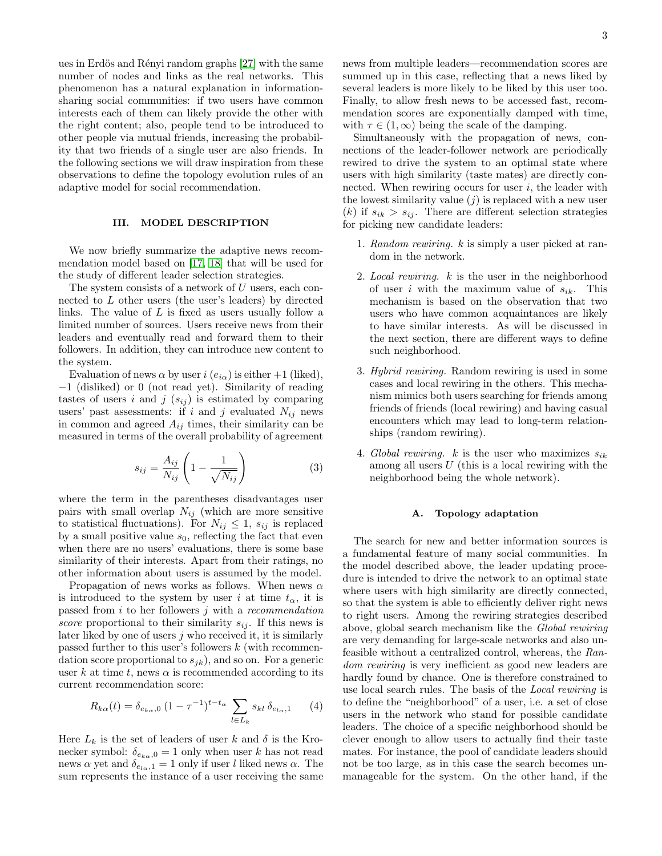ues in Erdös and Rényi random graphs [\[27\]](#page-9-23) with the same number of nodes and links as the real networks. This phenomenon has a natural explanation in informationsharing social communities: if two users have common interests each of them can likely provide the other with the right content; also, people tend to be introduced to other people via mutual friends, increasing the probability that two friends of a single user are also friends. In the following sections we will draw inspiration from these observations to define the topology evolution rules of an adaptive model for social recommendation.

# III. MODEL DESCRIPTION

We now briefly summarize the adaptive news recommendation model based on [\[17,](#page-9-14) [18\]](#page-9-16) that will be used for the study of different leader selection strategies.

The system consists of a network of U users, each connected to L other users (the user's leaders) by directed links. The value of L is fixed as users usually follow a limited number of sources. Users receive news from their leaders and eventually read and forward them to their followers. In addition, they can introduce new content to the system.

Evaluation of news  $\alpha$  by user  $i(e_{i\alpha})$  is either +1 (liked), −1 (disliked) or 0 (not read yet). Similarity of reading tastes of users i and j  $(s_{ij})$  is estimated by comparing users' past assessments: if i and j evaluated  $N_{ij}$  news in common and agreed  $A_{ij}$  times, their similarity can be measured in terms of the overall probability of agreement

<span id="page-2-1"></span>
$$
s_{ij} = \frac{A_{ij}}{N_{ij}} \left( 1 - \frac{1}{\sqrt{N_{ij}}} \right) \tag{3}
$$

where the term in the parentheses disadvantages user pairs with small overlap  $N_{ij}$  (which are more sensitive to statistical fluctuations). For  $N_{ij} \leq 1$ ,  $s_{ij}$  is replaced by a small positive value  $s_0$ , reflecting the fact that even when there are no users' evaluations, there is some base similarity of their interests. Apart from their ratings, no other information about users is assumed by the model.

Propagation of news works as follows. When news  $\alpha$ is introduced to the system by user i at time  $t_{\alpha}$ , it is passed from  $i$  to her followers  $j$  with a recommendation score proportional to their similarity  $s_{ij}$ . If this news is later liked by one of users  $j$  who received it, it is similarly passed further to this user's followers k (with recommendation score proportional to  $s_{ik}$ ), and so on. For a generic user k at time t, news  $\alpha$  is recommended according to its current recommendation score:

<span id="page-2-0"></span>
$$
R_{k\alpha}(t) = \delta_{e_{k\alpha},0} \left(1 - \tau^{-1}\right)^{t - t_{\alpha}} \sum_{l \in L_k} s_{kl} \, \delta_{e_{l\alpha},1} \qquad (4)
$$

Here  $L_k$  is the set of leaders of user k and  $\delta$  is the Kronecker symbol:  $\delta_{e_{k\alpha},0} = 1$  only when user k has not read news  $\alpha$  yet and  $\delta_{e_{l\alpha},1} = 1$  only if user l liked news  $\alpha$ . The sum represents the instance of a user receiving the same news from multiple leaders—recommendation scores are summed up in this case, reflecting that a news liked by several leaders is more likely to be liked by this user too. Finally, to allow fresh news to be accessed fast, recommendation scores are exponentially damped with time, with  $\tau \in (1,\infty)$  being the scale of the damping.

Simultaneously with the propagation of news, connections of the leader-follower network are periodically rewired to drive the system to an optimal state where users with high similarity (taste mates) are directly connected. When rewiring occurs for user  $i$ , the leader with the lowest similarity value  $(j)$  is replaced with a new user (k) if  $s_{ik} > s_{ij}$ . There are different selection strategies for picking new candidate leaders:

- 1. Random rewiring. k is simply a user picked at random in the network.
- 2. Local rewiring. k is the user in the neighborhood of user i with the maximum value of  $s_{ik}$ . This mechanism is based on the observation that two users who have common acquaintances are likely to have similar interests. As will be discussed in the next section, there are different ways to define such neighborhood.
- 3. Hybrid rewiring. Random rewiring is used in some cases and local rewiring in the others. This mechanism mimics both users searching for friends among friends of friends (local rewiring) and having casual encounters which may lead to long-term relationships (random rewiring).
- 4. Global rewiring. k is the user who maximizes  $s_{ik}$ among all users  $U$  (this is a local rewiring with the neighborhood being the whole network).

#### A. Topology adaptation

The search for new and better information sources is a fundamental feature of many social communities. In the model described above, the leader updating procedure is intended to drive the network to an optimal state where users with high similarity are directly connected, so that the system is able to efficiently deliver right news to right users. Among the rewiring strategies described above, global search mechanism like the Global rewiring are very demanding for large-scale networks and also unfeasible without a centralized control, whereas, the Random rewiring is very inefficient as good new leaders are hardly found by chance. One is therefore constrained to use local search rules. The basis of the Local rewiring is to define the "neighborhood" of a user, i.e. a set of close users in the network who stand for possible candidate leaders. The choice of a specific neighborhood should be clever enough to allow users to actually find their taste mates. For instance, the pool of candidate leaders should not be too large, as in this case the search becomes unmanageable for the system. On the other hand, if the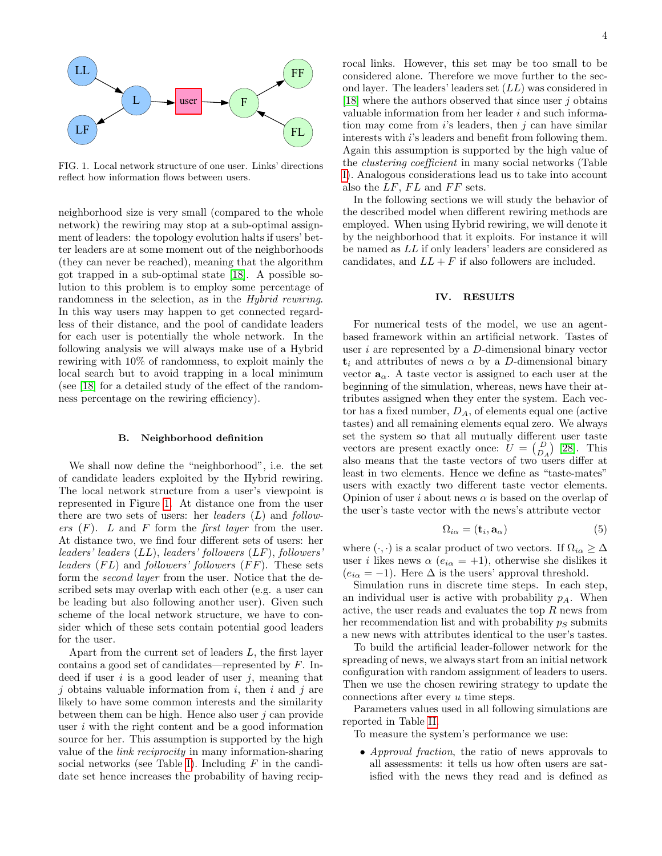

<span id="page-3-0"></span>FIG. 1. Local network structure of one user. Links' directions reflect how information flows between users.

neighborhood size is very small (compared to the whole network) the rewiring may stop at a sub-optimal assignment of leaders: the topology evolution halts if users' better leaders are at some moment out of the neighborhoods (they can never be reached), meaning that the algorithm got trapped in a sub-optimal state [\[18\]](#page-9-16). A possible solution to this problem is to employ some percentage of randomness in the selection, as in the *Hybrid rewiring*. In this way users may happen to get connected regardless of their distance, and the pool of candidate leaders for each user is potentially the whole network. In the following analysis we will always make use of a Hybrid rewiring with 10% of randomness, to exploit mainly the local search but to avoid trapping in a local minimum (see [\[18\]](#page-9-16) for a detailed study of the effect of the randomness percentage on the rewiring efficiency).

#### B. Neighborhood definition

We shall now define the "neighborhood", i.e. the set of candidate leaders exploited by the Hybrid rewiring. The local network structure from a user's viewpoint is represented in Figure [1.](#page-3-0) At distance one from the user there are two sets of users: her *leaders*  $(L)$  and  $follow$ ers  $(F)$ . L and F form the first layer from the user. At distance two, we find four different sets of users: her leaders' leaders (LL), leaders' followers (LF), followers' leaders  $(FL)$  and followers' followers  $(FF)$ . These sets form the second layer from the user. Notice that the described sets may overlap with each other (e.g. a user can be leading but also following another user). Given such scheme of the local network structure, we have to consider which of these sets contain potential good leaders for the user.

Apart from the current set of leaders L, the first layer contains a good set of candidates—represented by F. Indeed if user  $i$  is a good leader of user  $j$ , meaning that  $j$  obtains valuable information from  $i$ , then  $i$  and  $j$  are likely to have some common interests and the similarity between them can be high. Hence also user  $j$  can provide user  $i$  with the right content and be a good information source for her. This assumption is supported by the high value of the link reciprocity in many information-sharing social networks (see Table [I\)](#page-1-0). Including  $F$  in the candidate set hence increases the probability of having reciprocal links. However, this set may be too small to be considered alone. Therefore we move further to the second layer. The leaders' leaders set (LL) was considered in [\[18\]](#page-9-16) where the authors observed that since user  $j$  obtains valuable information from her leader  $i$  and such information may come from  $i$ 's leaders, then  $j$  can have similar interests with i's leaders and benefit from following them. Again this assumption is supported by the high value of the clustering coefficient in many social networks (Table [I\)](#page-1-0). Analogous considerations lead us to take into account also the  $LF$ ,  $FL$  and  $FF$  sets.

In the following sections we will study the behavior of the described model when different rewiring methods are employed. When using Hybrid rewiring, we will denote it by the neighborhood that it exploits. For instance it will be named as LL if only leaders' leaders are considered as candidates, and  $LL + F$  if also followers are included.

# IV. RESULTS

For numerical tests of the model, we use an agentbased framework within an artificial network. Tastes of user  $i$  are represented by a  $D$ -dimensional binary vector  $t_i$  and attributes of news  $\alpha$  by a D-dimensional binary vector  $\mathbf{a}_{\alpha}$ . A taste vector is assigned to each user at the beginning of the simulation, whereas, news have their attributes assigned when they enter the system. Each vector has a fixed number,  $D_A$ , of elements equal one (active tastes) and all remaining elements equal zero. We always set the system so that all mutually different user taste vectors are present exactly once:  $U = \begin{pmatrix} D \\ D_A \end{pmatrix}$  [\[28\]](#page-9-24). This also means that the taste vectors of two users differ at least in two elements. Hence we define as "taste-mates" users with exactly two different taste vector elements. Opinion of user i about news  $\alpha$  is based on the overlap of the user's taste vector with the news's attribute vector

$$
\Omega_{i\alpha} = (\mathbf{t}_i, \mathbf{a}_{\alpha}) \tag{5}
$$

where  $(\cdot, \cdot)$  is a scalar product of two vectors. If  $\Omega_{i\alpha} \geq \Delta$ user *i* likes news  $\alpha$  ( $e_{i\alpha} = +1$ ), otherwise she dislikes it  $(e_{i\alpha} = -1)$ . Here  $\Delta$  is the users' approval threshold.

Simulation runs in discrete time steps. In each step, an individual user is active with probability  $p_A$ . When active, the user reads and evaluates the top R news from her recommendation list and with probability  $p<sub>S</sub>$  submits a new news with attributes identical to the user's tastes.

To build the artificial leader-follower network for the spreading of news, we always start from an initial network configuration with random assignment of leaders to users. Then we use the chosen rewiring strategy to update the connections after every u time steps.

Parameters values used in all following simulations are reported in Table [II.](#page-4-0)

To measure the system's performance we use:

• *Approval fraction*, the ratio of news approvals to all assessments: it tells us how often users are satisfied with the news they read and is defined as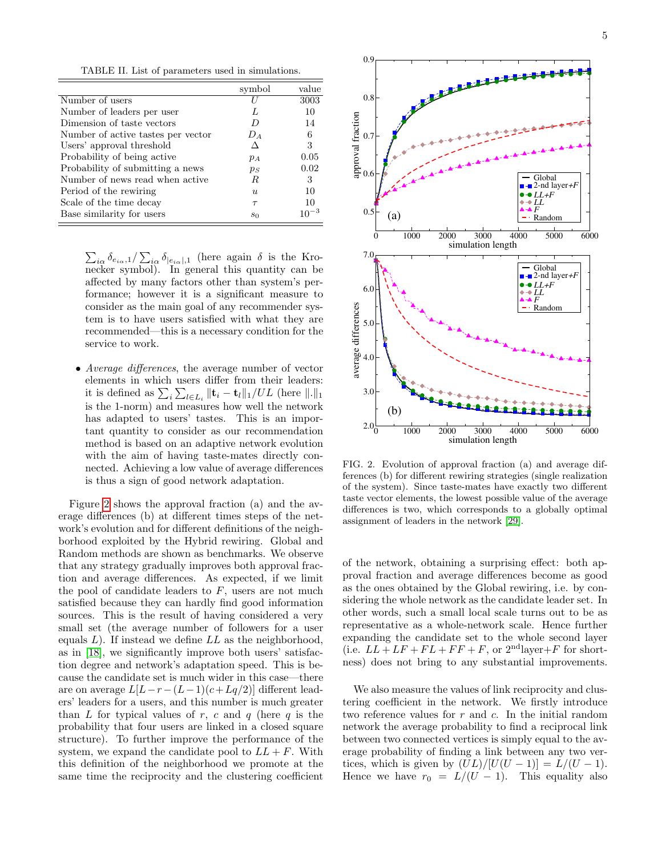<span id="page-4-0"></span>TABLE II. List of parameters used in simulations.

|                                    | symbol         | value |
|------------------------------------|----------------|-------|
| Number of users                    |                | 3003  |
| Number of leaders per user         | L              | 10    |
| Dimension of taste vectors         | D              | 14    |
| Number of active tastes per vector | $D_A$          | 6     |
| Users' approval threshold          |                | 3     |
| Probability of being active        | $p_A$          | 0.05  |
| Probability of submitting a news   | $p_S$          | 0.02  |
| Number of news read when active    | R.             | 3     |
| Period of the rewiring             | $\mathfrak{u}$ | 10    |
| Scale of the time decay            | $\tau$         | 10    |
| Base similarity for users          | $s_0$          |       |

 $\sum_{i\alpha} \delta_{e_{i\alpha},1}/\sum_{i\alpha} \delta_{|e_{i\alpha}|,1}$  (here again  $\delta$  is the Kronecker symbol). In general this quantity can be affected by many factors other than system's performance; however it is a significant measure to consider as the main goal of any recommender system is to have users satisfied with what they are recommended—this is a necessary condition for the service to work.

• Average differences, the average number of vector elements in which users differ from their leaders: it is defined as  $\sum_i \sum_{l \in L_i} ||\mathbf{t}_i - \mathbf{t}_l||_1 / UL$  (here  $||.||_1$ is the 1-norm) and measures how well the network has adapted to users' tastes. This is an important quantity to consider as our recommendation method is based on an adaptive network evolution with the aim of having taste-mates directly connected. Achieving a low value of average differences is thus a sign of good network adaptation.

Figure [2](#page-4-1) shows the approval fraction (a) and the average differences (b) at different times steps of the network's evolution and for different definitions of the neighborhood exploited by the Hybrid rewiring. Global and Random methods are shown as benchmarks. We observe that any strategy gradually improves both approval fraction and average differences. As expected, if we limit the pool of candidate leaders to  $F$ , users are not much satisfied because they can hardly find good information sources. This is the result of having considered a very small set (the average number of followers for a user equals  $L$ ). If instead we define  $LL$  as the neighborhood, as in [\[18\]](#page-9-16), we significantly improve both users' satisfaction degree and network's adaptation speed. This is because the candidate set is much wider in this case—there are on average  $L[L-r-(L-1)(c+Lq/2)]$  different leaders' leaders for a users, and this number is much greater than L for typical values of r, c and q (here q is the probability that four users are linked in a closed square structure). To further improve the performance of the system, we expand the candidate pool to  $LL + F$ . With this definition of the neighborhood we promote at the same time the reciprocity and the clustering coefficient



<span id="page-4-1"></span>FIG. 2. Evolution of approval fraction (a) and average differences (b) for different rewiring strategies (single realization of the system). Since taste-mates have exactly two different taste vector elements, the lowest possible value of the average differences is two, which corresponds to a globally optimal assignment of leaders in the network [\[29\]](#page-9-25).

of the network, obtaining a surprising effect: both approval fraction and average differences become as good as the ones obtained by the Global rewiring, i.e. by considering the whole network as the candidate leader set. In other words, such a small local scale turns out to be as representative as a whole-network scale. Hence further expanding the candidate set to the whole second layer (i.e.  $LL + LF + FL + FF + F$ , or  $2<sup>nd</sup> layer + F$  for shortness) does not bring to any substantial improvements.

We also measure the values of link reciprocity and clustering coefficient in the network. We firstly introduce two reference values for  $r$  and  $c$ . In the initial random network the average probability to find a reciprocal link between two connected vertices is simply equal to the average probability of finding a link between any two vertices, which is given by  $(UL)/[U(U-1)] = L/(U-1)$ . Hence we have  $r_0 = L/(U - 1)$ . This equality also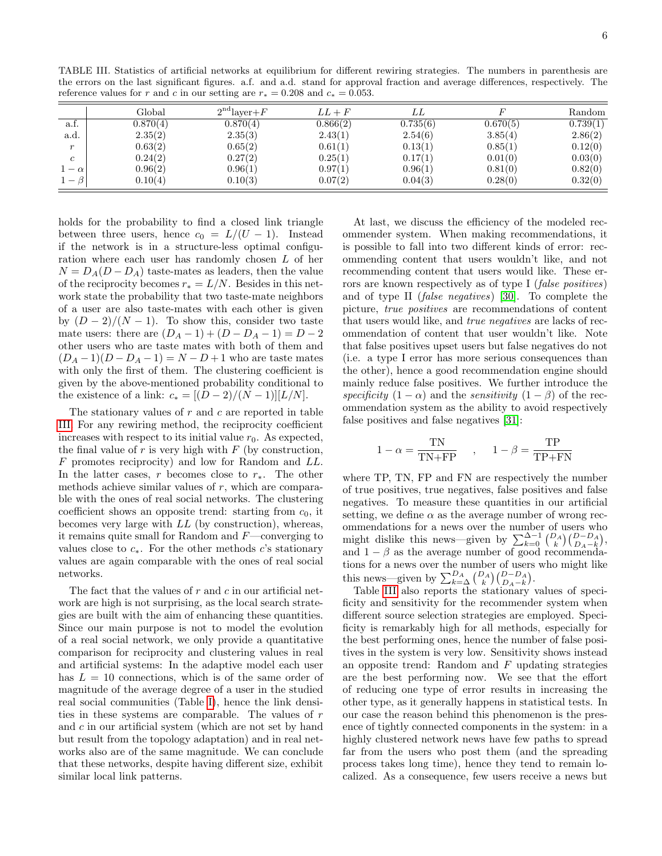<span id="page-5-0"></span>TABLE III. Statistics of artificial networks at equilibrium for different rewiring strategies. The numbers in parenthesis are the errors on the last significant figures. a.f. and a.d. stand for approval fraction and average differences, respectively. The reference values for r and c in our setting are  $r_* = 0.208$  and  $c_* = 0.053$ .

|              | Global   | $2^{\text{nd}}$ layer $+F$ | $LL+F$   | LL       |          | Random   |
|--------------|----------|----------------------------|----------|----------|----------|----------|
| a.f.         | 0.870(4) | 0.870(4)                   | 0.866(2) | 0.735(6) | 0.670(5) | 0.739(1) |
| a.d.         | 2.35(2)  | 2.35(3)                    | 2.43(1)  | 2.54(6)  | 3.85(4)  | 2.86(2)  |
| $\mathbf{r}$ | 0.63(2)  | 0.65(2)                    | 0.61(1)  | 0.13(1)  | 0.85(1)  | 0.12(0)  |
| с            | 0.24(2)  | 0.27(2)                    | 0.25(1)  | 0.17(1)  | 0.01(0)  | 0.03(0)  |
| $1 - \alpha$ | 0.96(2)  | 0.96(1)                    | 0.97(1)  | 0.96(1)  | 0.81(0)  | 0.82(0)  |
| $1-\beta$    | 0.10(4)  | 0.10(3)                    | 0.07(2)  | 0.04(3)  | 0.28(0)  | 0.32(0)  |

holds for the probability to find a closed link triangle between three users, hence  $c_0 = L/(U - 1)$ . Instead if the network is in a structure-less optimal configuration where each user has randomly chosen L of her  $N = D_A(D - D_A)$  taste-mates as leaders, then the value of the reciprocity becomes  $r_* = L/N$ . Besides in this network state the probability that two taste-mate neighbors of a user are also taste-mates with each other is given by  $(D-2)/(N-1)$ . To show this, consider two taste mate users: there are  $(D_A - 1) + (D - D_A - 1) = D - 2$ other users who are taste mates with both of them and  $(D_A - 1)(D - D_A - 1) = N - D + 1$  who are taste mates with only the first of them. The clustering coefficient is given by the above-mentioned probability conditional to the existence of a link:  $c_* = [(D-2)/(N-1)][L/N]$ .

The stationary values of  $r$  and  $c$  are reported in table [III.](#page-5-0) For any rewiring method, the reciprocity coefficient increases with respect to its initial value  $r_0$ . As expected, the final value of  $r$  is very high with  $F$  (by construction, F promotes reciprocity) and low for Random and LL. In the latter cases,  $r$  becomes close to  $r_*$ . The other methods achieve similar values of  $r$ , which are comparable with the ones of real social networks. The clustering coefficient shows an opposite trend: starting from  $c_0$ , it becomes very large with  $LL$  (by construction), whereas, it remains quite small for Random and F—converging to values close to  $c_$ <sup>\*</sup>. For the other methods c's stationary values are again comparable with the ones of real social networks.

The fact that the values of  $r$  and  $c$  in our artificial network are high is not surprising, as the local search strategies are built with the aim of enhancing these quantities. Since our main purpose is not to model the evolution of a real social network, we only provide a quantitative comparison for reciprocity and clustering values in real and artificial systems: In the adaptive model each user has  $L = 10$  connections, which is of the same order of magnitude of the average degree of a user in the studied real social communities (Table [I\)](#page-1-0), hence the link densities in these systems are comparable. The values of r and c in our artificial system (which are not set by hand but result from the topology adaptation) and in real networks also are of the same magnitude. We can conclude that these networks, despite having different size, exhibit similar local link patterns.

At last, we discuss the efficiency of the modeled recommender system. When making recommendations, it is possible to fall into two different kinds of error: recommending content that users wouldn't like, and not recommending content that users would like. These errors are known respectively as of type I (false positives) and of type II (false negatives) [\[30\]](#page-9-26). To complete the picture, true positives are recommendations of content that users would like, and true negatives are lacks of recommendation of content that user wouldn't like. Note that false positives upset users but false negatives do not (i.e. a type I error has more serious consequences than the other), hence a good recommendation engine should mainly reduce false positives. We further introduce the specificity  $(1 - \alpha)$  and the sensitivity  $(1 - \beta)$  of the recommendation system as the ability to avoid respectively false positives and false negatives [\[31\]](#page-9-27):

$$
1 - \alpha = \frac{\text{TN}}{\text{TN} + \text{FP}} \quad , \quad 1 - \beta = \frac{\text{TP}}{\text{TP} + \text{FN}}
$$

where TP, TN, FP and FN are respectively the number of true positives, true negatives, false positives and false negatives. To measure these quantities in our artificial setting, we define  $\alpha$  as the average number of wrong recommendations for a news over the number of users who might dislike this news—given by  $\sum_{k=0}^{\Delta-1} {D_A \choose k} {D-D_A \choose D_A-k},$ and  $1 - \beta$  as the average number of good recommendations for a news over the number of users who might like this news—given by  $\sum_{k=\Delta}^{DA} {D_A \choose k} {D-D_A \choose D_A-k}$ .

Table [III](#page-5-0) also reports the stationary values of specificity and sensitivity for the recommender system when different source selection strategies are employed. Specificity is remarkably high for all methods, especially for the best performing ones, hence the number of false positives in the system is very low. Sensitivity shows instead an opposite trend: Random and  $F$  updating strategies are the best performing now. We see that the effort of reducing one type of error results in increasing the other type, as it generally happens in statistical tests. In our case the reason behind this phenomenon is the presence of tightly connected components in the system: in a highly clustered network news have few paths to spread far from the users who post them (and the spreading process takes long time), hence they tend to remain localized. As a consequence, few users receive a news but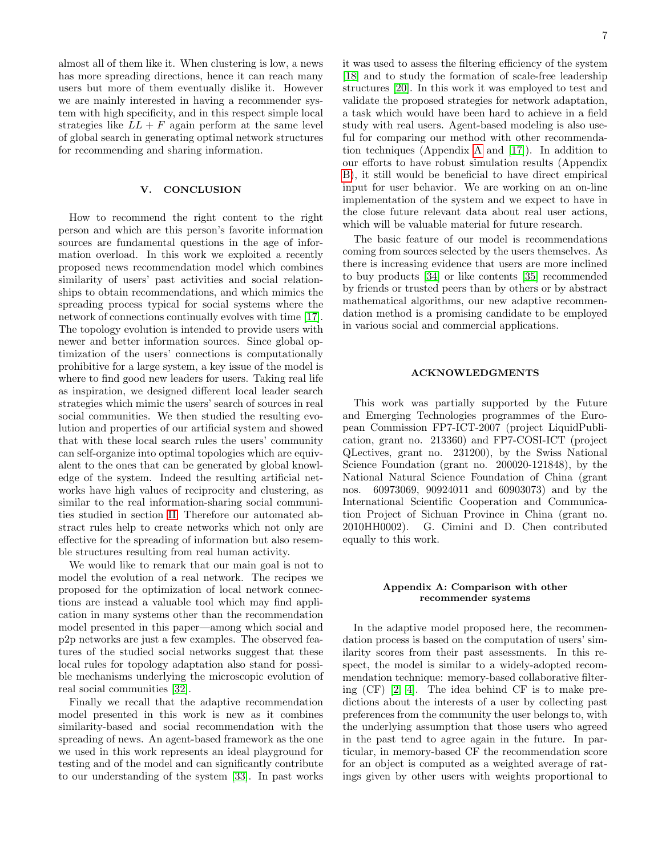almost all of them like it. When clustering is low, a news has more spreading directions, hence it can reach many users but more of them eventually dislike it. However we are mainly interested in having a recommender system with high specificity, and in this respect simple local strategies like  $LL + F$  again perform at the same level of global search in generating optimal network structures for recommending and sharing information.

# V. CONCLUSION

How to recommend the right content to the right person and which are this person's favorite information sources are fundamental questions in the age of information overload. In this work we exploited a recently proposed news recommendation model which combines similarity of users' past activities and social relationships to obtain recommendations, and which mimics the spreading process typical for social systems where the network of connections continually evolves with time [\[17\]](#page-9-14). The topology evolution is intended to provide users with newer and better information sources. Since global optimization of the users' connections is computationally prohibitive for a large system, a key issue of the model is where to find good new leaders for users. Taking real life as inspiration, we designed different local leader search strategies which mimic the users' search of sources in real social communities. We then studied the resulting evolution and properties of our artificial system and showed that with these local search rules the users' community can self-organize into optimal topologies which are equivalent to the ones that can be generated by global knowledge of the system. Indeed the resulting artificial networks have high values of reciprocity and clustering, as similar to the real information-sharing social communities studied in section [II.](#page-1-1) Therefore our automated abstract rules help to create networks which not only are effective for the spreading of information but also resemble structures resulting from real human activity.

We would like to remark that our main goal is not to model the evolution of a real network. The recipes we proposed for the optimization of local network connections are instead a valuable tool which may find application in many systems other than the recommendation model presented in this paper—among which social and p2p networks are just a few examples. The observed features of the studied social networks suggest that these local rules for topology adaptation also stand for possible mechanisms underlying the microscopic evolution of real social communities [\[32\]](#page-9-28).

Finally we recall that the adaptive recommendation model presented in this work is new as it combines similarity-based and social recommendation with the spreading of news. An agent-based framework as the one we used in this work represents an ideal playground for testing and of the model and can significantly contribute to our understanding of the system [\[33\]](#page-9-29). In past works it was used to assess the filtering efficiency of the system [\[18\]](#page-9-16) and to study the formation of scale-free leadership structures [\[20\]](#page-9-15). In this work it was employed to test and validate the proposed strategies for network adaptation, a task which would have been hard to achieve in a field study with real users. Agent-based modeling is also useful for comparing our method with other recommendation techniques (Appendix [A](#page-6-0) and [\[17\]](#page-9-14)). In addition to our efforts to have robust simulation results (Appendix [B\)](#page-8-0), it still would be beneficial to have direct empirical input for user behavior. We are working on an on-line implementation of the system and we expect to have in the close future relevant data about real user actions, which will be valuable material for future research.

The basic feature of our model is recommendations coming from sources selected by the users themselves. As there is increasing evidence that users are more inclined to buy products [\[34\]](#page-9-30) or like contents [\[35\]](#page-9-31) recommended by friends or trusted peers than by others or by abstract mathematical algorithms, our new adaptive recommendation method is a promising candidate to be employed in various social and commercial applications.

#### ACKNOWLEDGMENTS

This work was partially supported by the Future and Emerging Technologies programmes of the European Commission FP7-ICT-2007 (project LiquidPublication, grant no. 213360) and FP7-COSI-ICT (project QLectives, grant no. 231200), by the Swiss National Science Foundation (grant no. 200020-121848), by the National Natural Science Foundation of China (grant nos. 60973069, 90924011 and 60903073) and by the International Scientific Cooperation and Communication Project of Sichuan Province in China (grant no. 2010HH0002). G. Cimini and D. Chen contributed equally to this work.

## <span id="page-6-0"></span>Appendix A: Comparison with other recommender systems

In the adaptive model proposed here, the recommendation process is based on the computation of users' similarity scores from their past assessments. In this respect, the model is similar to a widely-adopted recommendation technique: memory-based collaborative filtering (CF) [\[2,](#page-9-2) [4\]](#page-9-3). The idea behind CF is to make predictions about the interests of a user by collecting past preferences from the community the user belongs to, with the underlying assumption that those users who agreed in the past tend to agree again in the future. In particular, in memory-based CF the recommendation score for an object is computed as a weighted average of ratings given by other users with weights proportional to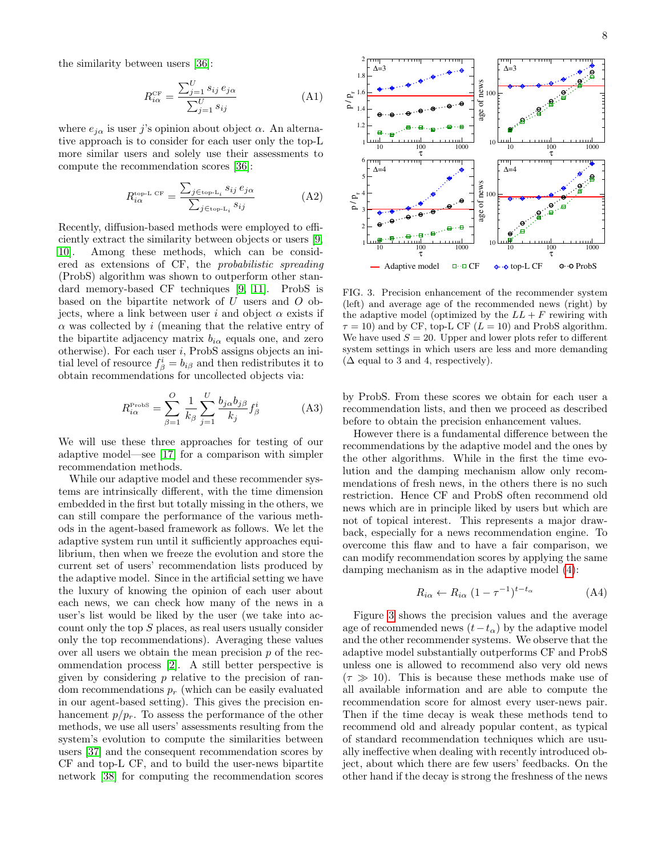the similarity between users [\[36\]](#page-9-32):

$$
R_{i\alpha}^{\text{CF}} = \frac{\sum_{j=1}^{U} s_{ij} e_{j\alpha}}{\sum_{j=1}^{U} s_{ij}}
$$
(A1)

where  $e_{i\alpha}$  is user j's opinion about object  $\alpha$ . An alternative approach is to consider for each user only the top-L more similar users and solely use their assessments to compute the recommendation scores [\[36\]](#page-9-32):

$$
R_{i\alpha}^{\text{top-L CF}} = \frac{\sum_{j \in \text{top-L}_i} s_{ij} e_{j\alpha}}{\sum_{j \in \text{top-L}_i} s_{ij}} \tag{A2}
$$

Recently, diffusion-based methods were employed to efficiently extract the similarity between objects or users [\[9,](#page-9-8) [10\]](#page-9-33). Among these methods, which can be considered as extensions of CF, the probabilistic spreading (ProbS) algorithm was shown to outperform other standard memory-based CF techniques [\[9,](#page-9-8) [11\]](#page-9-9). ProbS is based on the bipartite network of  $U$  users and  $O$  objects, where a link between user i and object  $\alpha$  exists if  $\alpha$  was collected by i (meaning that the relative entry of the bipartite adjacency matrix  $b_{i\alpha}$  equals one, and zero otherwise). For each user  $i$ , ProbS assigns objects an initial level of resource  $f^i_\beta = b_{i\beta}$  and then redistributes it to obtain recommendations for uncollected objects via:

$$
R_{i\alpha}^{\text{Probs}} = \sum_{\beta=1}^{O} \frac{1}{k_{\beta}} \sum_{j=1}^{U} \frac{b_{j\alpha} b_{j\beta}}{k_{j}} f_{\beta}^{i}
$$
 (A3)

We will use these three approaches for testing of our adaptive model—see [\[17\]](#page-9-14) for a comparison with simpler recommendation methods.

While our adaptive model and these recommender systems are intrinsically different, with the time dimension embedded in the first but totally missing in the others, we can still compare the performance of the various methods in the agent-based framework as follows. We let the adaptive system run until it sufficiently approaches equilibrium, then when we freeze the evolution and store the current set of users' recommendation lists produced by the adaptive model. Since in the artificial setting we have the luxury of knowing the opinion of each user about each news, we can check how many of the news in a user's list would be liked by the user (we take into account only the top S places, as real users usually consider only the top recommendations). Averaging these values over all users we obtain the mean precision  $p$  of the recommendation process [\[2\]](#page-9-2). A still better perspective is given by considering  $p$  relative to the precision of random recommendations  $p_r$  (which can be easily evaluated in our agent-based setting). This gives the precision enhancement  $p/p_r$ . To assess the performance of the other methods, we use all users' assessments resulting from the system's evolution to compute the similarities between users [\[37\]](#page-9-34) and the consequent recommendation scores by CF and top-L CF, and to build the user-news bipartite if). Among these methods, within ex an interest in the relation score in the recommendation scheme is only that in the recommendation scheme is the recommendation scheme in the recommendation scheme is the recommendation



<span id="page-7-0"></span>FIG. 3. Precision enhancement of the recommender system (left) and average age of the recommended news (right) by the adaptive model (optimized by the  $LL + F$  rewiring with  $\tau = 10$ ) and by CF, top-L CF ( $L = 10$ ) and ProbS algorithm. We have used  $S = 20$ . Upper and lower plots refer to different system settings in which users are less and more demanding  $(\Delta$  equal to 3 and 4, respectively).

by ProbS. From these scores we obtain for each user a recommendation lists, and then we proceed as described before to obtain the precision enhancement values.

However there is a fundamental difference between the recommendations by the adaptive model and the ones by the other algorithms. While in the first the time evolution and the damping mechanism allow only recommendations of fresh news, in the others there is no such restriction. Hence CF and ProbS often recommend old news which are in principle liked by users but which are not of topical interest. This represents a major drawback, especially for a news recommendation engine. To overcome this flaw and to have a fair comparison, we can modify recommendation scores by applying the same damping mechanism as in the adaptive model [\(4\)](#page-2-0):

$$
R_{i\alpha} \leftarrow R_{i\alpha} \ (1 - \tau^{-1})^{t - t_{\alpha}} \tag{A4}
$$

Figure [3](#page-7-0) shows the precision values and the average age of recommended news  $(t-t_{\alpha})$  by the adaptive model and the other recommender systems. We observe that the adaptive model substantially outperforms CF and ProbS unless one is allowed to recommend also very old news  $(\tau \gg 10)$ . This is because these methods make use of all available information and are able to compute the recommendation score for almost every user-news pair. Then if the time decay is weak these methods tend to recommend old and already popular content, as typical of standard recommendation techniques which are usually ineffective when dealing with recently introduced object, about which there are few users' feedbacks. On the other hand if the decay is strong the freshness of the news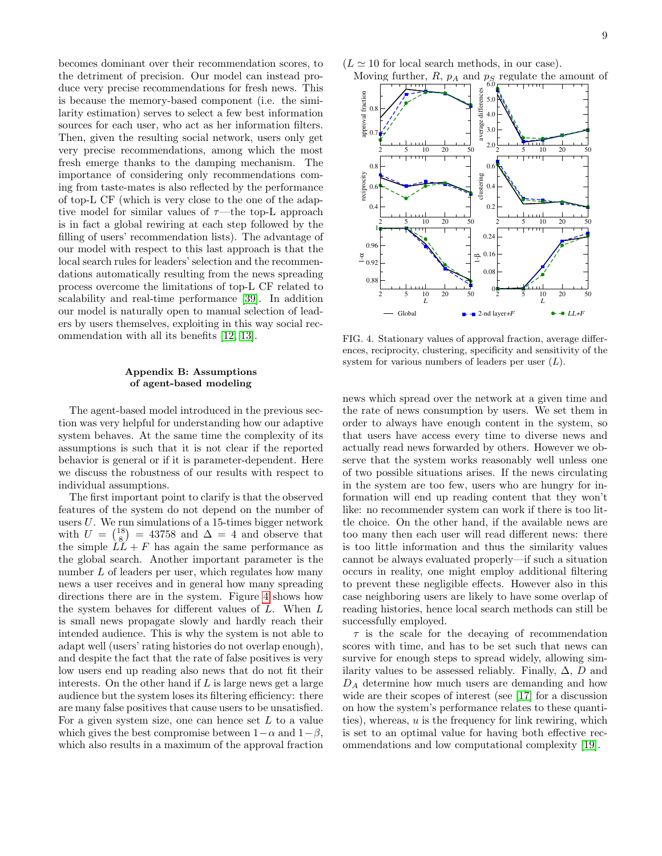becomes dominant over their recommendation scores, to the detriment of precision. Our model can instead produce very precise recommendations for fresh news. This is because the memory-based component (i.e. the similarity estimation) serves to select a few best information sources for each user, who act as her information filters. Then, given the resulting social network, users only get very precise recommendations, among which the most fresh emerge thanks to the damping mechanism. The importance of considering only recommendations coming from taste-mates is also reflected by the performance of top-L CF (which is very close to the one of the adaptive model for similar values of  $\tau$ —the top-L approach is in fact a global rewiring at each step followed by the filling of users' recommendation lists). The advantage of our model with respect to this last approach is that the local search rules for leaders' selection and the recommendations automatically resulting from the news spreading process overcome the limitations of top-L CF related to scalability and real-time performance [\[39\]](#page-9-36). In addition our model is naturally open to manual selection of leaders by users themselves, exploiting in this way social recommendation with all its benefits [\[12,](#page-9-10) [13\]](#page-9-11).

### <span id="page-8-0"></span>Appendix B: Assumptions of agent-based modeling

The agent-based model introduced in the previous section was very helpful for understanding how our adaptive system behaves. At the same time the complexity of its assumptions is such that it is not clear if the reported behavior is general or if it is parameter-dependent. Here we discuss the robustness of our results with respect to individual assumptions.

The first important point to clarify is that the observed features of the system do not depend on the number of users  $U$ . We run simulations of a 15-times bigger network with  $U = \binom{18}{8} = 43758$  and  $\Delta = 4$  and observe that the simple  $\tilde{L}\tilde{L} + F$  has again the same performance as the global search. Another important parameter is the number L of leaders per user, which regulates how many news a user receives and in general how many spreading directions there are in the system. Figure [4](#page-8-1) shows how the system behaves for different values of L. When L is small news propagate slowly and hardly reach their intended audience. This is why the system is not able to adapt well (users' rating histories do not overlap enough), and despite the fact that the rate of false positives is very low users end up reading also news that do not fit their interests. On the other hand if  $L$  is large news get a large audience but the system loses its filtering efficiency: there are many false positives that cause users to be unsatisfied. For a given system size, one can hence set  $L$  to a value which gives the best compromise between  $1-\alpha$  and  $1-\beta$ , which also results in a maximum of the approval fraction





<span id="page-8-1"></span>FIG. 4. Stationary values of approval fraction, average differences, reciprocity, clustering, specificity and sensitivity of the system for various numbers of leaders per user  $(L)$ .

news which spread over the network at a given time and the rate of news consumption by users. We set them in order to always have enough content in the system, so that users have access every time to diverse news and actually read news forwarded by others. However we observe that the system works reasonably well unless one of two possible situations arises. If the news circulating in the system are too few, users who are hungry for information will end up reading content that they won't like: no recommender system can work if there is too little choice. On the other hand, if the available news are too many then each user will read different news: there is too little information and thus the similarity values cannot be always evaluated properly—if such a situation occurs in reality, one might employ additional filtering to prevent these negligible effects. However also in this case neighboring users are likely to have some overlap of reading histories, hence local search methods can still be successfully employed.

 $\tau$  is the scale for the decaying of recommendation scores with time, and has to be set such that news can survive for enough steps to spread widely, allowing similarity values to be assessed reliably. Finally,  $\Delta$ , D and  $D_A$  determine how much users are demanding and how wide are their scopes of interest (see [\[17\]](#page-9-14) for a discussion on how the system's performance relates to these quantities), whereas,  $u$  is the frequency for link rewiring, which is set to an optimal value for having both effective recommendations and low computational complexity [\[19\]](#page-9-37).